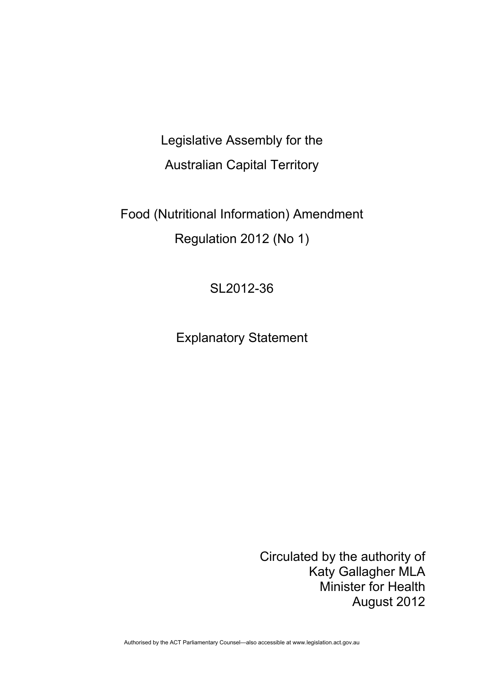Legislative Assembly for the Australian Capital Territory

Food (Nutritional Information) Amendment Regulation 2012 (No 1)

SL2012-36

Explanatory Statement

Circulated by the authority of Katy Gallagher MLA Minister for Health August 2012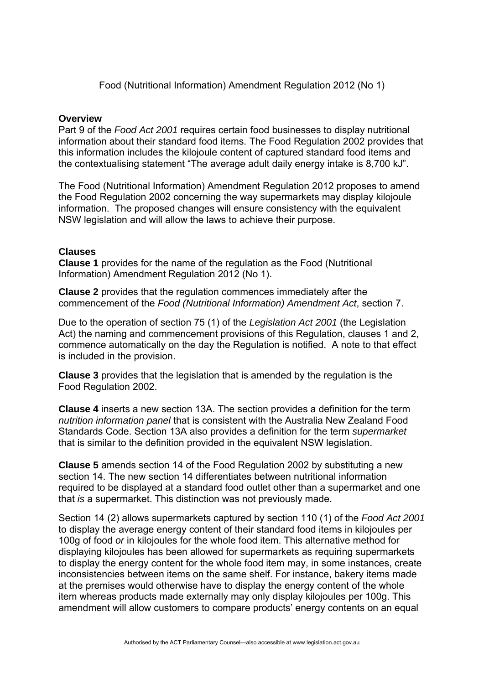Food (Nutritional Information) Amendment Regulation 2012 (No 1)

## **Overview**

Part 9 of the *Food Act 2001* requires certain food businesses to display nutritional information about their standard food items. The Food Regulation 2002 provides that this information includes the kilojoule content of captured standard food items and the contextualising statement "The average adult daily energy intake is 8,700 kJ".

The Food (Nutritional Information) Amendment Regulation 2012 proposes to amend the Food Regulation 2002 concerning the way supermarkets may display kilojoule information. The proposed changes will ensure consistency with the equivalent NSW legislation and will allow the laws to achieve their purpose.

## **Clauses**

**Clause 1** provides for the name of the regulation as the Food (Nutritional Information) Amendment Regulation 2012 (No 1).

**Clause 2** provides that the regulation commences immediately after the commencement of the *Food (Nutritional Information) Amendment Act*, section 7.

Due to the operation of section 75 (1) of the *Legislation Act 2001* (the Legislation Act) the naming and commencement provisions of this Regulation, clauses 1 and 2, commence automatically on the day the Regulation is notified. A note to that effect is included in the provision.

**Clause 3** provides that the legislation that is amended by the regulation is the Food Regulation 2002.

**Clause 4** inserts a new section 13A. The section provides a definition for the term *nutrition information panel* that is consistent with the Australia New Zealand Food Standards Code. Section 13A also provides a definition for the term *supermarket*  that is similar to the definition provided in the equivalent NSW legislation.

**Clause 5** amends section 14 of the Food Regulation 2002 by substituting a new section 14. The new section 14 differentiates between nutritional information required to be displayed at a standard food outlet other than a supermarket and one that *is* a supermarket. This distinction was not previously made.

Section 14 (2) allows supermarkets captured by section 110 (1) of the *Food Act 2001* to display the average energy content of their standard food items in kilojoules per 100g of food *or* in kilojoules for the whole food item. This alternative method for displaying kilojoules has been allowed for supermarkets as requiring supermarkets to display the energy content for the whole food item may, in some instances, create inconsistencies between items on the same shelf. For instance, bakery items made at the premises would otherwise have to display the energy content of the whole item whereas products made externally may only display kilojoules per 100g. This amendment will allow customers to compare products' energy contents on an equal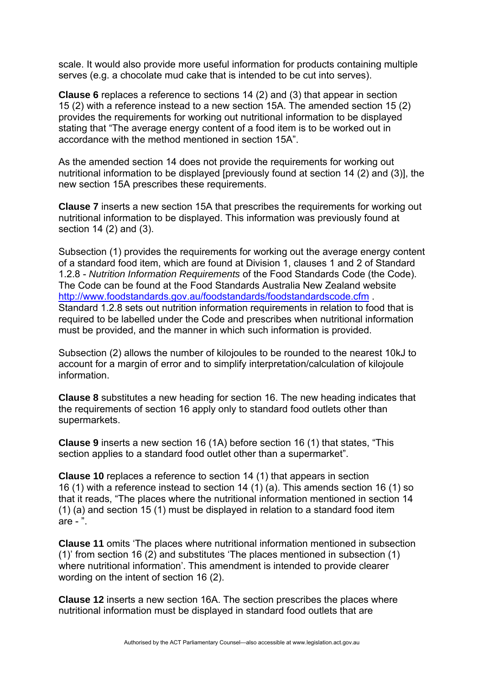scale. It would also provide more useful information for products containing multiple serves (e.g. a chocolate mud cake that is intended to be cut into serves).

**Clause 6** replaces a reference to sections 14 (2) and (3) that appear in section 15 (2) with a reference instead to a new section 15A. The amended section 15 (2) provides the requirements for working out nutritional information to be displayed stating that "The average energy content of a food item is to be worked out in accordance with the method mentioned in section 15A".

As the amended section 14 does not provide the requirements for working out nutritional information to be displayed [previously found at section 14 (2) and (3)], the new section 15A prescribes these requirements.

**Clause 7** inserts a new section 15A that prescribes the requirements for working out nutritional information to be displayed. This information was previously found at section 14 (2) and (3).

Subsection (1) provides the requirements for working out the average energy content of a standard food item, which are found at Division 1, clauses 1 and 2 of Standard 1.2.8 - *Nutrition Information Requirements* of the Food Standards Code (the Code). The Code can be found at the Food Standards Australia New Zealand website <http://www.foodstandards.gov.au/foodstandards/foodstandardscode.cfm> . Standard 1.2.8 sets out nutrition information requirements in relation to food that is required to be labelled under the Code and prescribes when nutritional information must be provided, and the manner in which such information is provided.

Subsection (2) allows the number of kilojoules to be rounded to the nearest 10kJ to account for a margin of error and to simplify interpretation/calculation of kilojoule information.

**Clause 8** substitutes a new heading for section 16. The new heading indicates that the requirements of section 16 apply only to standard food outlets other than supermarkets.

**Clause 9** inserts a new section 16 (1A) before section 16 (1) that states, "This section applies to a standard food outlet other than a supermarket".

**Clause 10** replaces a reference to section 14 (1) that appears in section 16 (1) with a reference instead to section 14 (1) (a). This amends section 16 (1) so that it reads, "The places where the nutritional information mentioned in section 14 (1) (a) and section 15 (1) must be displayed in relation to a standard food item are - ".

**Clause 11** omits 'The places where nutritional information mentioned in subsection (1)' from section 16 (2) and substitutes 'The places mentioned in subsection (1) where nutritional information'. This amendment is intended to provide clearer wording on the intent of section 16 (2).

**Clause 12** inserts a new section 16A. The section prescribes the places where nutritional information must be displayed in standard food outlets that are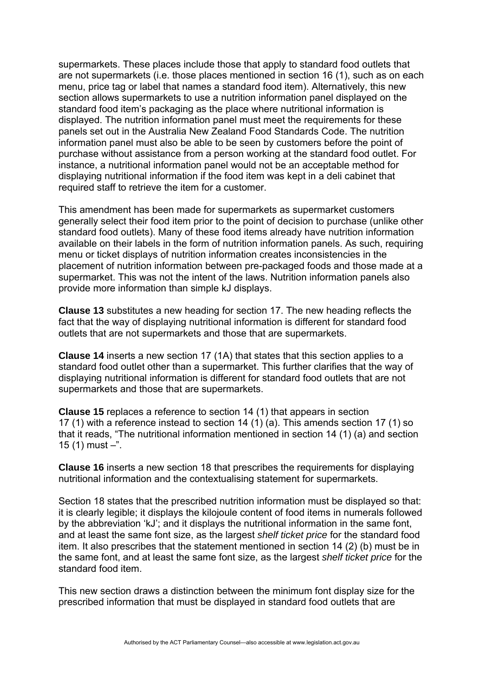supermarkets. These places include those that apply to standard food outlets that are not supermarkets (i.e. those places mentioned in section 16 (1), such as on each menu, price tag or label that names a standard food item). Alternatively, this new section allows supermarkets to use a nutrition information panel displayed on the standard food item's packaging as the place where nutritional information is displayed. The nutrition information panel must meet the requirements for these panels set out in the Australia New Zealand Food Standards Code. The nutrition information panel must also be able to be seen by customers before the point of purchase without assistance from a person working at the standard food outlet. For instance, a nutritional information panel would not be an acceptable method for displaying nutritional information if the food item was kept in a deli cabinet that required staff to retrieve the item for a customer.

This amendment has been made for supermarkets as supermarket customers generally select their food item prior to the point of decision to purchase (unlike other standard food outlets). Many of these food items already have nutrition information available on their labels in the form of nutrition information panels. As such, requiring menu or ticket displays of nutrition information creates inconsistencies in the placement of nutrition information between pre-packaged foods and those made at a supermarket. This was not the intent of the laws. Nutrition information panels also provide more information than simple kJ displays.

**Clause 13** substitutes a new heading for section 17. The new heading reflects the fact that the way of displaying nutritional information is different for standard food outlets that are not supermarkets and those that are supermarkets.

**Clause 14** inserts a new section 17 (1A) that states that this section applies to a standard food outlet other than a supermarket. This further clarifies that the way of displaying nutritional information is different for standard food outlets that are not supermarkets and those that are supermarkets.

**Clause 15** replaces a reference to section 14 (1) that appears in section 17 (1) with a reference instead to section 14 (1) (a). This amends section 17 (1) so that it reads, "The nutritional information mentioned in section 14 (1) (a) and section 15 $(1)$  must  $-$ ".

**Clause 16** inserts a new section 18 that prescribes the requirements for displaying nutritional information and the contextualising statement for supermarkets.

Section 18 states that the prescribed nutrition information must be displayed so that: it is clearly legible; it displays the kilojoule content of food items in numerals followed by the abbreviation 'kJ'; and it displays the nutritional information in the same font, and at least the same font size, as the largest *shelf ticket price* for the standard food item. It also prescribes that the statement mentioned in section 14 (2) (b) must be in the same font, and at least the same font size, as the largest *shelf ticket price* for the standard food item.

This new section draws a distinction between the minimum font display size for the prescribed information that must be displayed in standard food outlets that are